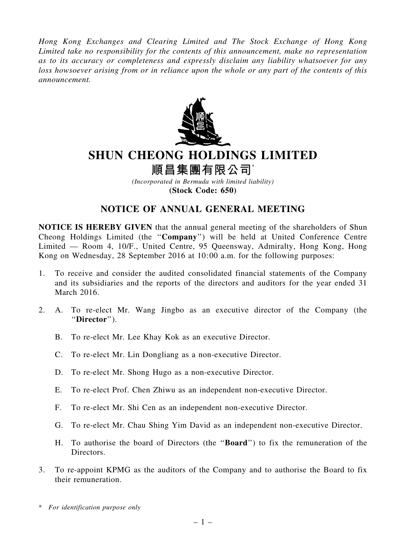*Hong Kong Exchanges and Clearing Limited and The Stock Exchange of Hong Kong Limited take no responsibility for the contents of this announcement, make no representation as to its accuracy or completeness and expressly disclaim any liability whatsoever for any loss howsoever arising from or in reliance upon the whole or any part of the contents of this announcement.*



## SHUN CHEONG HOLDINGS LIMITED

順昌集團有限公司\*

*(Incorporated in Bermuda with limited liability)* (Stock Code: 650)

## NOTICE OF ANNUAL GENERAL MEETING

NOTICE IS HEREBY GIVEN that the annual general meeting of the shareholders of Shun Cheong Holdings Limited (the ''Company'') will be held at United Conference Centre Limited — Room 4, 10/F., United Centre, 95 Queensway, Admiralty, Hong Kong, Hong Kong on Wednesday, 28 September 2016 at 10:00 a.m. for the following purposes:

- 1. To receive and consider the audited consolidated financial statements of the Company and its subsidiaries and the reports of the directors and auditors for the year ended 31 March 2016.
- 2. A. To re-elect Mr. Wang Jingbo as an executive director of the Company (the ''Director'').
	- B. To re-elect Mr. Lee Khay Kok as an executive Director.
	- C. To re-elect Mr. Lin Dongliang as a non-executive Director.
	- D. To re-elect Mr. Shong Hugo as a non-executive Director.
	- E. To re-elect Prof. Chen Zhiwu as an independent non-executive Director.
	- F. To re-elect Mr. Shi Cen as an independent non-executive Director.
	- G. To re-elect Mr. Chau Shing Yim David as an independent non-executive Director.
	- H. To authorise the board of Directors (the ''Board'') to fix the remuneration of the Directors.
- 3. To re-appoint KPMG as the auditors of the Company and to authorise the Board to fix their remuneration.
- \* *For identification purpose only*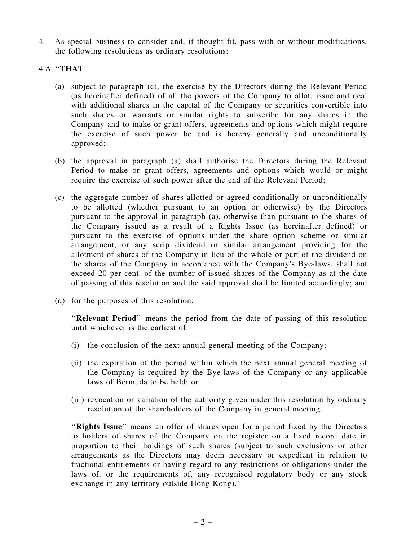4. As special business to consider and, if thought fit, pass with or without modifications, the following resolutions as ordinary resolutions:

## 4.A. ''THAT:

- (a) subject to paragraph (c), the exercise by the Directors during the Relevant Period (as hereinafter defined) of all the powers of the Company to allot, issue and deal with additional shares in the capital of the Company or securities convertible into such shares or warrants or similar rights to subscribe for any shares in the Company and to make or grant offers, agreements and options which might require the exercise of such power be and is hereby generally and unconditionally approved;
- (b) the approval in paragraph (a) shall authorise the Directors during the Relevant Period to make or grant offers, agreements and options which would or might require the exercise of such power after the end of the Relevant Period;
- (c) the aggregate number of shares allotted or agreed conditionally or unconditionally to be allotted (whether pursuant to an option or otherwise) by the Directors pursuant to the approval in paragraph (a), otherwise than pursuant to the shares of the Company issued as a result of a Rights Issue (as hereinafter defined) or pursuant to the exercise of options under the share option scheme or similar arrangement, or any scrip dividend or similar arrangement providing for the allotment of shares of the Company in lieu of the whole or part of the dividend on the shares of the Company in accordance with the Company's Bye-laws, shall not exceed 20 per cent. of the number of issued shares of the Company as at the date of passing of this resolution and the said approval shall be limited accordingly; and
- (d) for the purposes of this resolution:

''Relevant Period'' means the period from the date of passing of this resolution until whichever is the earliest of:

- (i) the conclusion of the next annual general meeting of the Company;
- (ii) the expiration of the period within which the next annual general meeting of the Company is required by the Bye-laws of the Company or any applicable laws of Bermuda to be held; or
- (iii) revocation or variation of the authority given under this resolution by ordinary resolution of the shareholders of the Company in general meeting.

''Rights Issue'' means an offer of shares open for a period fixed by the Directors to holders of shares of the Company on the register on a fixed record date in proportion to their holdings of such shares (subject to such exclusions or other arrangements as the Directors may deem necessary or expedient in relation to fractional entitlements or having regard to any restrictions or obligations under the laws of, or the requirements of, any recognised regulatory body or any stock exchange in any territory outside Hong Kong).''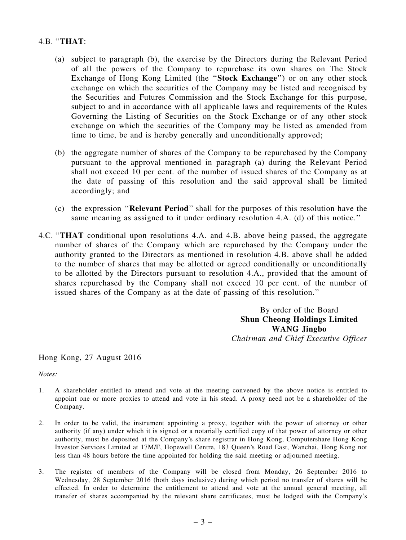## 4.B. ''THAT:

- (a) subject to paragraph (b), the exercise by the Directors during the Relevant Period of all the powers of the Company to repurchase its own shares on The Stock Exchange of Hong Kong Limited (the ''Stock Exchange'') or on any other stock exchange on which the securities of the Company may be listed and recognised by the Securities and Futures Commission and the Stock Exchange for this purpose, subject to and in accordance with all applicable laws and requirements of the Rules Governing the Listing of Securities on the Stock Exchange or of any other stock exchange on which the securities of the Company may be listed as amended from time to time, be and is hereby generally and unconditionally approved;
- (b) the aggregate number of shares of the Company to be repurchased by the Company pursuant to the approval mentioned in paragraph (a) during the Relevant Period shall not exceed 10 per cent. of the number of issued shares of the Company as at the date of passing of this resolution and the said approval shall be limited accordingly; and
- (c) the expression ''Relevant Period'' shall for the purposes of this resolution have the same meaning as assigned to it under ordinary resolution 4.A. (d) of this notice.''
- 4.C. ''THAT conditional upon resolutions 4.A. and 4.B. above being passed, the aggregate number of shares of the Company which are repurchased by the Company under the authority granted to the Directors as mentioned in resolution 4.B. above shall be added to the number of shares that may be allotted or agreed conditionally or unconditionally to be allotted by the Directors pursuant to resolution 4.A., provided that the amount of shares repurchased by the Company shall not exceed 10 per cent. of the number of issued shares of the Company as at the date of passing of this resolution.''

By order of the Board Shun Cheong Holdings Limited WANG Jingbo *Chairman and Chief Executive Officer*

Hong Kong, 27 August 2016

*Notes:*

- 1. A shareholder entitled to attend and vote at the meeting convened by the above notice is entitled to appoint one or more proxies to attend and vote in his stead. A proxy need not be a shareholder of the Company.
- 2. In order to be valid, the instrument appointing a proxy, together with the power of attorney or other authority (if any) under which it is signed or a notarially certified copy of that power of attorney or other authority, must be deposited at the Company's share registrar in Hong Kong, Computershare Hong Kong Investor Services Limited at 17M/F, Hopewell Centre, 183 Queen's Road East, Wanchai, Hong Kong not less than 48 hours before the time appointed for holding the said meeting or adjourned meeting.
- 3. The register of members of the Company will be closed from Monday, 26 September 2016 to Wednesday, 28 September 2016 (both days inclusive) during which period no transfer of shares will be effected. In order to determine the entitlement to attend and vote at the annual general meeting, all transfer of shares accompanied by the relevant share certificates, must be lodged with the Company's